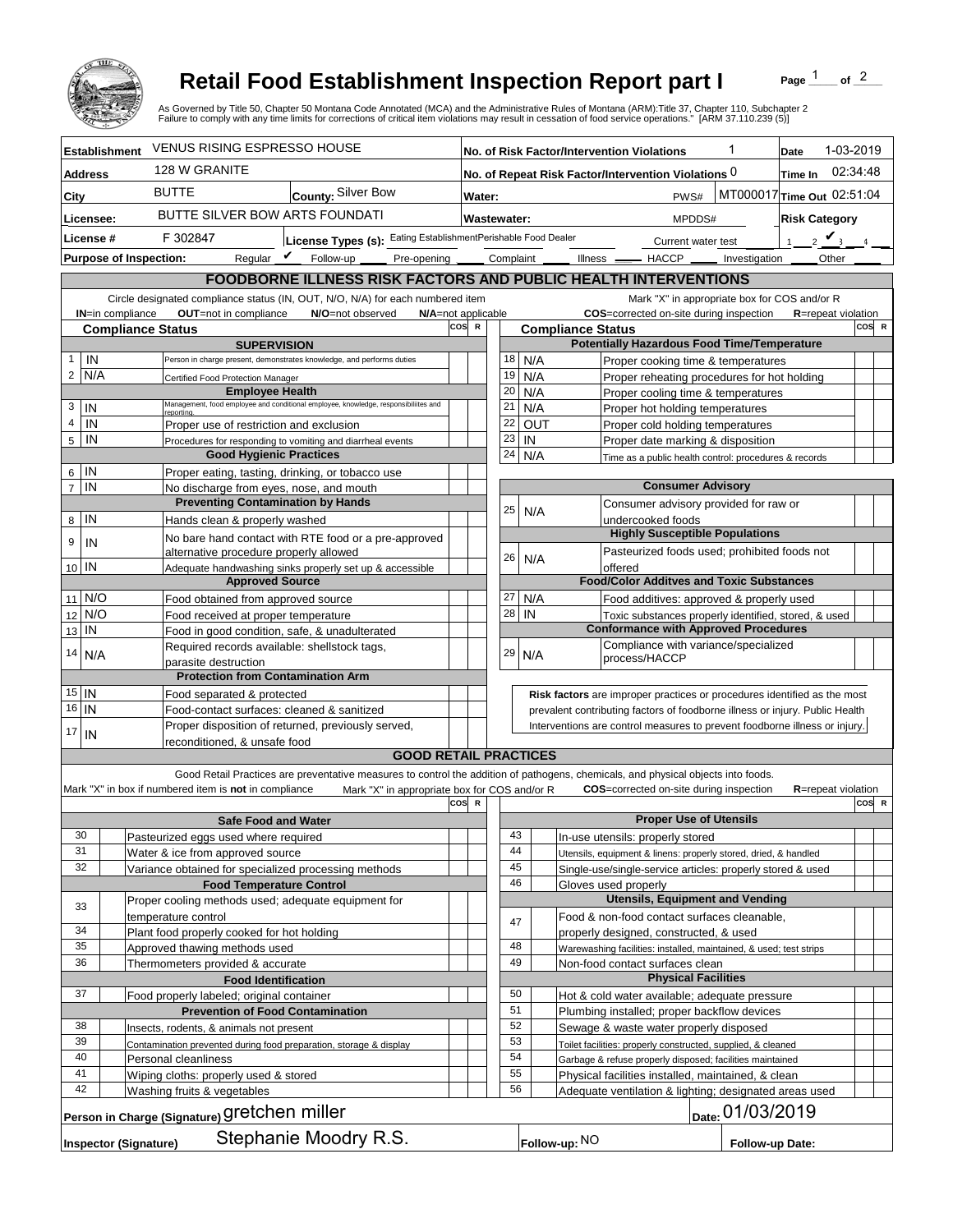

## **Retail Food Establishment Inspection Report part I**

Page  $\frac{1}{1}$  of  $\frac{2}{1}$ 

|                                                                                            |                      |                                                                                                  |                                                                                             |     |             |                                                                                                                                                            |           | <b>Retail Food Establishment Inspection Report part I</b><br>Page<br>As Governed by Title 50, Chapter 50 Montana Code Annotated (MCA) and the Administrative Rules of Montana (ARM):Title 37, Chapter 110, Subchapter 2<br>Failure to comply with any time limits for corrections of critical item violations may result in cessation of food service operations." [ARM 37.110.239 (5)] | of $^2$                    |       |                   |  |  |
|--------------------------------------------------------------------------------------------|----------------------|--------------------------------------------------------------------------------------------------|---------------------------------------------------------------------------------------------|-----|-------------|------------------------------------------------------------------------------------------------------------------------------------------------------------|-----------|-----------------------------------------------------------------------------------------------------------------------------------------------------------------------------------------------------------------------------------------------------------------------------------------------------------------------------------------------------------------------------------------|----------------------------|-------|-------------------|--|--|
|                                                                                            | <b>Establishment</b> | <b>VENUS RISING ESPRESSO HOUSE</b>                                                               |                                                                                             |     |             | 1<br>No. of Risk Factor/Intervention Violations                                                                                                            |           |                                                                                                                                                                                                                                                                                                                                                                                         |                            |       | 1-03-2019<br>Date |  |  |
| <b>Address</b>                                                                             |                      | 128 W GRANITE                                                                                    |                                                                                             |     |             | 02:34:48<br>No. of Repeat Risk Factor/Intervention Violations 0<br>Time In                                                                                 |           |                                                                                                                                                                                                                                                                                                                                                                                         |                            |       |                   |  |  |
| City                                                                                       |                      | <b>BUTTE</b>                                                                                     | County: Silver Bow                                                                          |     |             | MT000017 Time Out 02:51:04<br>PWS#<br>Water:                                                                                                               |           |                                                                                                                                                                                                                                                                                                                                                                                         |                            |       |                   |  |  |
| Licensee:                                                                                  |                      |                                                                                                  | BUTTE SILVER BOW ARTS FOUNDATI                                                              |     |             | <b>Risk Category</b><br>Wastewater:<br>MPDDS#                                                                                                              |           |                                                                                                                                                                                                                                                                                                                                                                                         |                            |       |                   |  |  |
| License #                                                                                  |                      | License Types (s): Eating EstablishmentPerishable Food Dealer<br>F 302847                        |                                                                                             |     |             |                                                                                                                                                            |           | Current water test<br>$\mathbf{1}$                                                                                                                                                                                                                                                                                                                                                      | $2 \vee$                   |       |                   |  |  |
|                                                                                            |                      | <b>Purpose of Inspection:</b>                                                                    | Reqular $\boldsymbol{V}$<br>Follow-up<br>Pre-opening                                        |     |             | Complaint                                                                                                                                                  |           | Illness <u>- HACCP</u><br>Investigation                                                                                                                                                                                                                                                                                                                                                 | Other                      |       |                   |  |  |
|                                                                                            |                      |                                                                                                  |                                                                                             |     |             |                                                                                                                                                            |           | FOODBORNE ILLNESS RISK FACTORS AND PUBLIC HEALTH INTERVENTIONS                                                                                                                                                                                                                                                                                                                          |                            |       |                   |  |  |
|                                                                                            |                      |                                                                                                  | Circle designated compliance status (IN, OUT, N/O, N/A) for each numbered item              |     |             |                                                                                                                                                            |           | Mark "X" in appropriate box for COS and/or R                                                                                                                                                                                                                                                                                                                                            |                            |       |                   |  |  |
| OUT=not in compliance<br><b>IN=in compliance</b><br>N/O=not observed<br>N/A=not applicable |                      |                                                                                                  |                                                                                             |     |             |                                                                                                                                                            |           | COS=corrected on-site during inspection                                                                                                                                                                                                                                                                                                                                                 | <b>R</b> =repeat violation |       |                   |  |  |
|                                                                                            |                      | <b>Compliance Status</b>                                                                         |                                                                                             | cos | $\mathbf R$ |                                                                                                                                                            |           | <b>Compliance Status</b>                                                                                                                                                                                                                                                                                                                                                                |                            | COS R |                   |  |  |
| $\mathbf{1}$<br>IN                                                                         |                      |                                                                                                  | <b>SUPERVISION</b><br>Person in charge present, demonstrates knowledge, and performs duties |     |             | 18                                                                                                                                                         | N/A       | <b>Potentially Hazardous Food Time/Temperature</b><br>Proper cooking time & temperatures                                                                                                                                                                                                                                                                                                |                            |       |                   |  |  |
| $\overline{2}$<br>N/A                                                                      |                      | Certified Food Protection Manager                                                                |                                                                                             |     |             | 19                                                                                                                                                         | N/A       | Proper reheating procedures for hot holding                                                                                                                                                                                                                                                                                                                                             |                            |       |                   |  |  |
|                                                                                            |                      | <b>Employee Health</b>                                                                           |                                                                                             |     |             | 20                                                                                                                                                         | N/A       | Proper cooling time & temperatures                                                                                                                                                                                                                                                                                                                                                      |                            |       |                   |  |  |
| 3<br>IN                                                                                    |                      | <b>reporting</b>                                                                                 | Management, food employee and conditional employee, knowledge, responsibiliites and         |     |             | 21                                                                                                                                                         | N/A       | Proper hot holding temperatures                                                                                                                                                                                                                                                                                                                                                         |                            |       |                   |  |  |
| $\overline{4}$<br>IN                                                                       |                      | Proper use of restriction and exclusion                                                          |                                                                                             |     |             | 22<br>23                                                                                                                                                   |           | OUT<br>Proper cold holding temperatures                                                                                                                                                                                                                                                                                                                                                 |                            |       |                   |  |  |
| $\overline{5}$<br>IN                                                                       |                      | <b>Good Hygienic Practices</b>                                                                   | Procedures for responding to vomiting and diarrheal events                                  |     |             | 24                                                                                                                                                         | IN<br>N/A | Proper date marking & disposition<br>Time as a public health control: procedures & records                                                                                                                                                                                                                                                                                              |                            |       |                   |  |  |
| IN<br>6                                                                                    |                      |                                                                                                  | Proper eating, tasting, drinking, or tobacco use                                            |     |             |                                                                                                                                                            |           |                                                                                                                                                                                                                                                                                                                                                                                         |                            |       |                   |  |  |
| $\overline{7}$<br>IN                                                                       |                      | No discharge from eyes, nose, and mouth                                                          |                                                                                             |     |             |                                                                                                                                                            |           | <b>Consumer Advisory</b>                                                                                                                                                                                                                                                                                                                                                                |                            |       |                   |  |  |
|                                                                                            |                      |                                                                                                  | <b>Preventing Contamination by Hands</b>                                                    |     |             | 25                                                                                                                                                         |           | Consumer advisory provided for raw or<br>N/A                                                                                                                                                                                                                                                                                                                                            |                            |       |                   |  |  |
| IN<br>8                                                                                    |                      | Hands clean & properly washed                                                                    |                                                                                             |     |             |                                                                                                                                                            |           | undercooked foods<br><b>Highly Susceptible Populations</b>                                                                                                                                                                                                                                                                                                                              |                            |       |                   |  |  |
| 9<br>IN                                                                                    |                      | alternative procedure properly allowed                                                           | No bare hand contact with RTE food or a pre-approved                                        |     |             |                                                                                                                                                            |           | Pasteurized foods used; prohibited foods not                                                                                                                                                                                                                                                                                                                                            |                            |       |                   |  |  |
| 10 IN                                                                                      |                      |                                                                                                  | Adequate handwashing sinks properly set up & accessible                                     |     |             | 26                                                                                                                                                         | N/A       | offered                                                                                                                                                                                                                                                                                                                                                                                 |                            |       |                   |  |  |
|                                                                                            |                      | <b>Approved Source</b>                                                                           |                                                                                             |     |             |                                                                                                                                                            |           | <b>Food/Color Additves and Toxic Substances</b>                                                                                                                                                                                                                                                                                                                                         |                            |       |                   |  |  |
| 11 N/O                                                                                     | N/O                  | Food obtained from approved source                                                               |                                                                                             |     |             | 27<br>28                                                                                                                                                   | N/A<br>IN | Food additives: approved & properly used                                                                                                                                                                                                                                                                                                                                                |                            |       |                   |  |  |
| 12<br>IN<br>13                                                                             |                      | Food received at proper temperature                                                              | Food in good condition, safe, & unadulterated                                               |     |             |                                                                                                                                                            |           | Toxic substances properly identified, stored, & used<br><b>Conformance with Approved Procedures</b>                                                                                                                                                                                                                                                                                     |                            |       |                   |  |  |
|                                                                                            |                      |                                                                                                  | Required records available: shellstock tags,                                                |     |             |                                                                                                                                                            |           | Compliance with variance/specialized                                                                                                                                                                                                                                                                                                                                                    |                            |       |                   |  |  |
| 14                                                                                         | N/A                  | parasite destruction                                                                             |                                                                                             |     |             | 29                                                                                                                                                         | N/A       | process/HACCP                                                                                                                                                                                                                                                                                                                                                                           |                            |       |                   |  |  |
|                                                                                            |                      | <b>Protection from Contamination Arm</b>                                                         |                                                                                             |     |             |                                                                                                                                                            |           |                                                                                                                                                                                                                                                                                                                                                                                         |                            |       |                   |  |  |
| $15$ IN<br>16<br>IN                                                                        |                      |                                                                                                  | Food separated & protected                                                                  |     |             |                                                                                                                                                            |           | Risk factors are improper practices or procedures identified as the most                                                                                                                                                                                                                                                                                                                |                            |       |                   |  |  |
|                                                                                            |                      | Food-contact surfaces: cleaned & sanitized<br>Proper disposition of returned, previously served, |                                                                                             |     |             | prevalent contributing factors of foodborne illness or injury. Public Health<br>Interventions are control measures to prevent foodborne illness or injury. |           |                                                                                                                                                                                                                                                                                                                                                                                         |                            |       |                   |  |  |
| 17<br>IN                                                                                   |                      | reconditioned, & unsafe food                                                                     |                                                                                             |     |             |                                                                                                                                                            |           |                                                                                                                                                                                                                                                                                                                                                                                         |                            |       |                   |  |  |
|                                                                                            |                      |                                                                                                  | <b>GOOD RETAIL PRACTICES</b>                                                                |     |             |                                                                                                                                                            |           |                                                                                                                                                                                                                                                                                                                                                                                         |                            |       |                   |  |  |
|                                                                                            |                      |                                                                                                  |                                                                                             |     |             |                                                                                                                                                            |           | Good Retail Practices are preventative measures to control the addition of pathogens, chemicals, and physical objects into foods.                                                                                                                                                                                                                                                       |                            |       |                   |  |  |
|                                                                                            |                      | Mark "X" in box if numbered item is not in compliance                                            | Mark "X" in appropriate box for COS and/or R                                                | cos | $\mathbf R$ |                                                                                                                                                            |           | <b>COS</b> =corrected on-site during inspection                                                                                                                                                                                                                                                                                                                                         | <b>R</b> =repeat violation | COS R |                   |  |  |
|                                                                                            |                      |                                                                                                  | <b>Safe Food and Water</b>                                                                  |     |             |                                                                                                                                                            |           | <b>Proper Use of Utensils</b>                                                                                                                                                                                                                                                                                                                                                           |                            |       |                   |  |  |
| 30                                                                                         |                      | Pasteurized eggs used where required                                                             |                                                                                             |     |             | 43                                                                                                                                                         |           | In-use utensils: properly stored                                                                                                                                                                                                                                                                                                                                                        |                            |       |                   |  |  |
| 31                                                                                         |                      | Water & ice from approved source                                                                 |                                                                                             |     |             | 44                                                                                                                                                         |           | Utensils, equipment & linens: properly stored, dried, & handled                                                                                                                                                                                                                                                                                                                         |                            |       |                   |  |  |
| 32                                                                                         |                      | Variance obtained for specialized processing methods                                             | <b>Food Temperature Control</b>                                                             |     |             | 45<br>46                                                                                                                                                   |           | Single-use/single-service articles: properly stored & used<br>Gloves used properly                                                                                                                                                                                                                                                                                                      |                            |       |                   |  |  |
|                                                                                            |                      | Proper cooling methods used; adequate equipment for                                              |                                                                                             |     |             |                                                                                                                                                            |           | <b>Utensils, Equipment and Vending</b>                                                                                                                                                                                                                                                                                                                                                  |                            |       |                   |  |  |
| 33                                                                                         |                      | temperature control                                                                              |                                                                                             |     |             | 47                                                                                                                                                         |           | Food & non-food contact surfaces cleanable,                                                                                                                                                                                                                                                                                                                                             |                            |       |                   |  |  |
| 34                                                                                         |                      | Plant food properly cooked for hot holding                                                       |                                                                                             |     |             |                                                                                                                                                            |           | properly designed, constructed, & used                                                                                                                                                                                                                                                                                                                                                  |                            |       |                   |  |  |
| 35                                                                                         |                      | Approved thawing methods used                                                                    |                                                                                             |     |             | 48                                                                                                                                                         |           | Warewashing facilities: installed, maintained, & used; test strips                                                                                                                                                                                                                                                                                                                      |                            |       |                   |  |  |
| 36                                                                                         |                      | Thermometers provided & accurate<br><b>Food Identification</b>                                   |                                                                                             |     |             | 49                                                                                                                                                         |           | Non-food contact surfaces clean<br><b>Physical Facilities</b>                                                                                                                                                                                                                                                                                                                           |                            |       |                   |  |  |
| 37                                                                                         |                      | Food properly labeled; original container                                                        |                                                                                             |     |             | 50                                                                                                                                                         |           | Hot & cold water available; adequate pressure                                                                                                                                                                                                                                                                                                                                           |                            |       |                   |  |  |
|                                                                                            |                      |                                                                                                  | <b>Prevention of Food Contamination</b>                                                     |     |             | 51                                                                                                                                                         |           | Plumbing installed; proper backflow devices                                                                                                                                                                                                                                                                                                                                             |                            |       |                   |  |  |
| 38                                                                                         |                      | Insects, rodents, & animals not present                                                          |                                                                                             |     |             | 52                                                                                                                                                         |           | Sewage & waste water properly disposed                                                                                                                                                                                                                                                                                                                                                  |                            |       |                   |  |  |
| 39<br>40                                                                                   |                      | Contamination prevented during food preparation, storage & display                               |                                                                                             |     |             | 53<br>54                                                                                                                                                   |           | Toilet facilities: properly constructed, supplied, & cleaned                                                                                                                                                                                                                                                                                                                            |                            |       |                   |  |  |
| 41                                                                                         |                      | Personal cleanliness<br>Wiping cloths: properly used & stored                                    |                                                                                             |     |             | 55                                                                                                                                                         |           | Garbage & refuse properly disposed; facilities maintained<br>Physical facilities installed, maintained, & clean                                                                                                                                                                                                                                                                         |                            |       |                   |  |  |
| 42                                                                                         |                      | Washing fruits & vegetables                                                                      |                                                                                             |     |             | 56                                                                                                                                                         |           | Adequate ventilation & lighting; designated areas used                                                                                                                                                                                                                                                                                                                                  |                            |       |                   |  |  |
|                                                                                            |                      | Person in Charge (Signature) Gretchen miller                                                     |                                                                                             |     |             |                                                                                                                                                            |           | Date: 01/03/2019                                                                                                                                                                                                                                                                                                                                                                        |                            |       |                   |  |  |
|                                                                                            |                      |                                                                                                  |                                                                                             |     |             |                                                                                                                                                            |           |                                                                                                                                                                                                                                                                                                                                                                                         |                            |       |                   |  |  |
|                                                                                            |                      | <b>Inspector (Signature)</b>                                                                     | Stephanie Moodry R.S.                                                                       |     |             |                                                                                                                                                            |           | Follow-up: NO<br>Follow-up Date:                                                                                                                                                                                                                                                                                                                                                        |                            |       |                   |  |  |